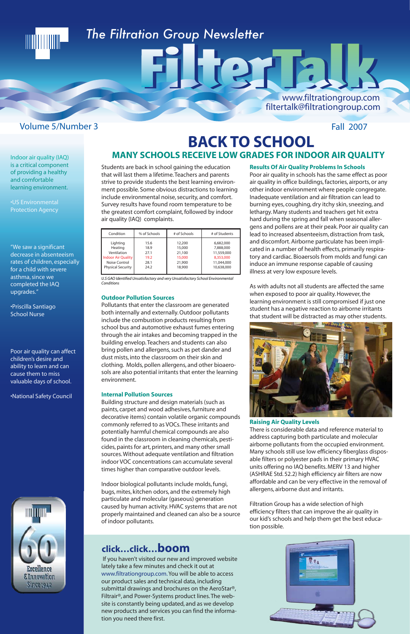If you haven't visited our new and improved website lately take a few minutes and check it out at www.filtrationgroup.com. You will be able to access our product sales and technical data, including submittal drawings and brochures on the AeroStar®, Filtrair®, and Power-Systems product lines. The website is constantly being updated, and as we develop new products and services you can find the information you need there first.

## **BACK TO SCHOOL** Indoor air quality (IAQ) **MANY SCHOOLS RECEIVE LOW GRADES FOR INDOOR AIR QUALITY**

FIITET E

## **click…click…boom**

is a critical component of providing a healthy and comfortable learning environment.

•US Environmental Protection Agency

"We saw a significant decrease in absenteeism rates of children, especially for a child with severe asthma, since we completed the IAQ upgrades."

•Priscilla Santiago School Nurse

Poor air quality can affect children's desire and ability to learn and can cause them to miss valuable days of school.

•National Safety Council

Students are back in school gaining the education that will last them a lifetime. Teachers and parents strive to provide students the best learning environment possible. Some obvious distractions to learning include environmental noise, security, and comfort. Survey results have found room temperature to be the greatest comfort complaint, followed by indoor air quality (IAQ) complaints.

*U.S GAO Identified Unsatisfactory and very Unsatisfactory School Environmental Conditions*

#### **Outdoor Pollution Sources**

Pollutants that enter the classroom are generated both internally and externally. Outdoor pollutants include the combustion products resulting from school bus and automotive exhaust fumes entering through the air intakes and becoming trapped in the building envelop. Teachers and students can also bring pollen and allergens, such as pet dander and dust mists, into the classroom on their skin and clothing. Molds, pollen allergens, and other bioaerosols are also potential irritants that enter the learning environment.

#### **Internal Pollution Sources**

Building structure and design materials (such as paints, carpet and wood adhesives, furniture and decorative items) contain volatile organic compounds commonly referred to as VOCs. These irritants and potentially harmful chemical compounds are also found in the classroom in cleaning chemicals, pesticides, paints for art, printers, and many other small sources. Without adequate ventilation and filtration indoor VOC concentrations can accumulate several

times higher than comparative outdoor levels.

Indoor biological pollutants include molds, fungi, bugs, mites, kitchen odors, and the extremely high particulate and molecular (gaseous) generation caused by human activity. HVAC systems that are not properly maintained and cleaned can also be a source of indoor pollutants.

**Results Of Air Quality Problems In Schools**

Poor air quality in schools has the same effect as poor air quality in office buildings, factories, airports, or any other indoor environment where people congregate. Inadequate ventilation and air filtration can lead to burning eyes, coughing, dry itchy skin, sneezing, and lethargy. Many students and teachers get hit extra hard during the spring and fall when seasonal allergens and pollens are at their peak. Poor air quality can lead to increased absenteeism, distraction from task, and discomfort. Airborne particulate has been implicated in a number of health effects, primarily respiratory and cardiac. Bioaersols from molds and fungi can induce an immune response capable of causing illness at very low exposure levels.

As with adults not all students are affected the same when exposed to poor air quality. However, the learning environment is still compromised if just one student has a negative reaction to airborne irritants that student will be distracted as may other students.



#### **Raising Air Quality Levels**

There is considerable data and reference material to address capturing both particulate and molecular airborne pollutants from the occupied environment. Many schools still use low efficiency fiberglass disposable filters or polyester pads in their primary HVAC units offering no IAQ benefits. MERV 13 and higher (ASHRAE Std. 52.2) high efficiency air filters are now affordable and can be very effective in the removal of allergens, airborne dust and irritants.



Filtration Group has a wide selection of high efficiency filters that can improve the air quality in our kid's schools and help them get the best education possible.



| Condition                 | % of Schools | # of Schools | # of Students |
|---------------------------|--------------|--------------|---------------|
| Lighting                  | 15.6         | 12,200       | 6,682,000     |
| Heating                   | 18.9         | 15,000       | 7,888,000     |
| Ventilation               | 27.1         | 21,100       | 11,559,000    |
| <b>Indoor Air Quality</b> | 19.2         | 15,000       | 8,353,000     |
| Noise Control             | 28.1         | 21,900       | 11,044,000    |
| <b>Physical Security</b>  | 24.2         | 18,900       | 10,638,000    |

# 

## *The Filtration Group Newsletter*

### Volume 5/Number 3 Fall 2007

www.filtrationgroup.com

filtertalk@filtrationgroup.com